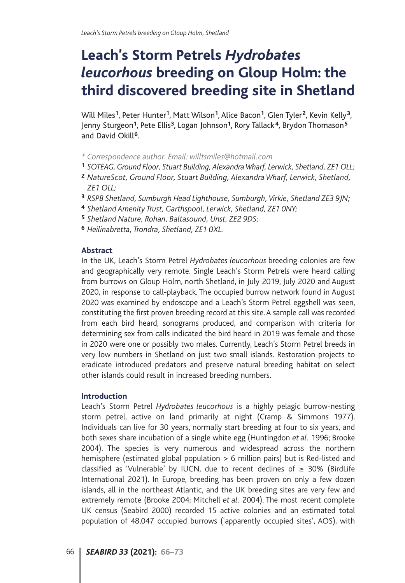# **Leach's Storm Petrels** *Hydrobates leucorhous* **breeding on Gloup Holm: the third discovered breeding site in Shetland**

Will Miles**<sup>1</sup>**, Peter Hunter**<sup>1</sup>**, Matt Wilson**<sup>1</sup>**, Alice Bacon**<sup>1</sup>**, Glen Tyler**<sup>2</sup>**, Kevin Kelly**<sup>3</sup>**, Jenny Sturgeon**<sup>1</sup>**, Pete Ellis**<sup>3</sup>**, Logan Johnson**<sup>1</sup>**, Rory Tallack **<sup>4</sup>**, Brydon Thomason**<sup>5</sup>** and David Okill**<sup>6</sup>**.

- *\* Correspondence author. Email: willtsmiles@hotmail.com*
- **<sup>1</sup>** *SOTEAG, Ground Floor, Stuart Building, Alexandra Wharf, Lerwick, Shetland, ZE1 OLL;*
- **<sup>2</sup>** *NatureScot, Ground Floor, Stuart Building, Alexandra Wharf, Lerwick, Shetland, ZE1 OLL;*
- **<sup>3</sup>** *RSPB Shetland, Sumburgh Head Lighthouse, Sumburgh, Virkie, Shetland ZE3 9JN;*
- **<sup>4</sup>** *Shetland Amenity Trust, Garthspool, Lerwick, Shetland, ZE1 0NY;*
- **<sup>5</sup>** *Shetland Nature, Rohan, Baltasound, Unst, ZE2 9DS;*
- **<sup>6</sup>** *Heilinabretta, Trondra, Shetland, ZE1 0XL.*

#### **Abstract**

In the UK, Leach's Storm Petrel *Hydrobates leucorhous* breeding colonies are few and geographically very remote. Single Leach's Storm Petrels were heard calling from burrows on Gloup Holm, north Shetland, in July 2019, July 2020 and August 2020, in response to call-playback. The occupied burrow network found in August 2020 was examined by endoscope and a Leach's Storm Petrel eggshell was seen, constituting the first proven breeding record at this site. A sample call was recorded from each bird heard, sonograms produced, and comparison with criteria for determining sex from calls indicated the bird heard in 2019 was female and those in 2020 were one or possibly two males. Currently, Leach's Storm Petrel breeds in very low numbers in Shetland on just two small islands. Restoration projects to eradicate introduced predators and preserve natural breeding habitat on select other islands could result in increased breeding numbers.

## **Introduction**

Leach's Storm Petrel *Hydrobates leucorhous* is a highly pelagic burrow-nesting storm petrel, active on land primarily at night (Cramp & Simmons 1977). Individuals can live for 30 years, normally start breeding at four to six years, and both sexes share incubation of a single white egg (Huntingdon *et al.* 1996; Brooke 2004). The species is very numerous and widespread across the northern hemisphere (estimated global population > 6 million pairs) but is Red-listed and classified as 'Vulnerable' by IUCN, due to recent declines of  $\geq$  30% (BirdLife International 2021). In Europe, breeding has been proven on only a few dozen islands, all in the northeast Atlantic, and the UK breeding sites are very few and extremely remote (Brooke 2004; Mitchell *et al.* 2004). The most recent complete UK census (Seabird 2000) recorded 15 active colonies and an estimated total population of 48,047 occupied burrows ('apparently occupied sites', AOS), with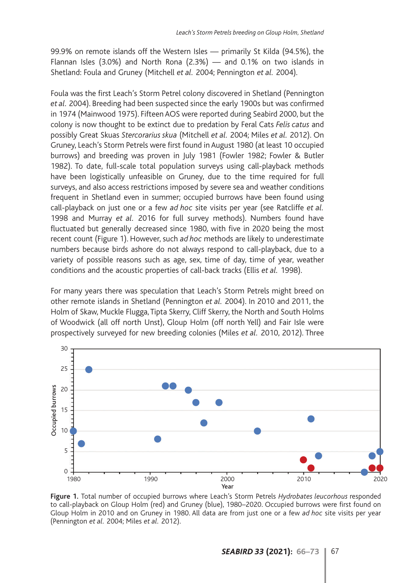99.9% on remote islands off the Western Isles — primarily St Kilda (94.5%), the Flannan Isles (3.0%) and North Rona (2.3%) — and 0.1% on two islands in Shetland: Foula and Gruney (Mitchell *et al.* 2004; Pennington *et al.* 2004).

Foula was the first Leach's Storm Petrel colony discovered in Shetland (Pennington *et al.* 2004). Breeding had been suspected since the early 1900s but was confirmed in 1974 (Mainwood 1975). Fifteen AOS were reported during Seabird 2000, but the colony is now thought to be extinct due to predation by Feral Cats *Felis catus* and possibly Great Skuas *Stercorarius skua* (Mitchell *et al.* 2004; Miles *et al.* 2012). On Gruney, Leach's Storm Petrels were first found in August 1980 (at least 10 occupied burrows) and breeding was proven in July 1981 (Fowler 1982; Fowler & Butler 1982). To date, full-scale total population surveys using call-playback methods have been logistically unfeasible on Gruney, due to the time required for full surveys, and also access restrictions imposed by severe sea and weather conditions frequent in Shetland even in summer; occupied burrows have been found using call-playback on just one or a few *ad hoc* site visits per year (see Ratcliffe *et al.* 1998 and Murray *et al.* 2016 for full survey methods). Numbers found have fluctuated but generally decreased since 1980, with five in 2020 being the most recent count (Figure 1). However, such *ad hoc* methods are likely to underestimate numbers because birds ashore do not always respond to call-playback, due to a variety of possible reasons such as age, sex, time of day, time of year, weather conditions and the acoustic properties of call-back tracks (Ellis *et al.* 1998).

For many years there was speculation that Leach's Storm Petrels might breed on other remote islands in Shetland (Pennington *et al.* 2004). In 2010 and 2011, the Holm of Skaw, Muckle Flugga, Tipta Skerry, Cliff Skerry, the North and South Holms of Woodwick (all off north Unst), Gloup Holm (off north Yell) and Fair Isle were prospectively surveyed for new breeding colonies (Miles *et al.* 2010, 2012). Three



**Figure 1.** Total number of occupied burrows where Leach's Storm Petrels *Hydrobates leucorhous* responded to call-playback on Gloup Holm (red) and Gruney (blue), 1980–2020. Occupied burrows were first found on Gloup Holm in 2010 and on Gruney in 1980. All data are from just one or a few *ad hoc* site visits per year (Pennington *et al.* 2004; Miles *et al.* 2012).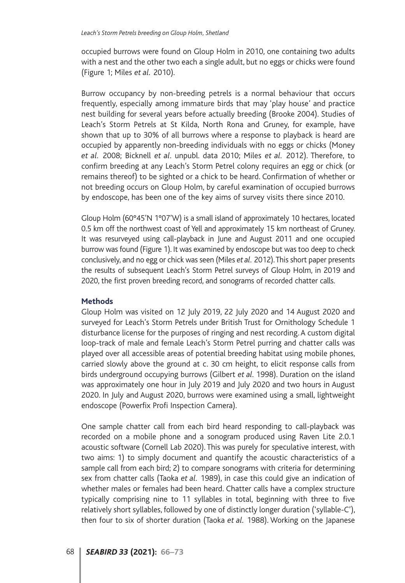occupied burrows were found on Gloup Holm in 2010, one containing two adults with a nest and the other two each a single adult, but no eggs or chicks were found (Figure 1; Miles *et al.* 2010).

Burrow occupancy by non-breeding petrels is a normal behaviour that occurs frequently, especially among immature birds that may 'play house' and practice nest building for several years before actually breeding (Brooke 2004). Studies of Leach's Storm Petrels at St Kilda, North Rona and Gruney, for example, have shown that up to 30% of all burrows where a response to playback is heard are occupied by apparently non-breeding individuals with no eggs or chicks (Money *et al.* 2008; Bicknell *et al*. unpubl. data 2010; Miles *et al.* 2012). Therefore, to confirm breeding at any Leach's Storm Petrel colony requires an egg or chick (or remains thereof) to be sighted or a chick to be heard. Confirmation of whether or not breeding occurs on Gloup Holm, by careful examination of occupied burrows by endoscope, has been one of the key aims of survey visits there since 2010.

Gloup Holm (60°45'N 1°07'W) is a small island of approximately 10 hectares, located 0.5 km off the northwest coast of Yell and approximately 15 km northeast of Gruney. It was resurveyed using call-playback in June and August 2011 and one occupied burrow was found (Figure 1). It was examined by endoscope but was too deep to check conclusively, and no egg or chick was seen (Miles *et al.* 2012). This short paper presents the results of subsequent Leach's Storm Petrel surveys of Gloup Holm, in 2019 and 2020, the first proven breeding record, and sonograms of recorded chatter calls.

#### **Methods**

Gloup Holm was visited on 12 July 2019, 22 July 2020 and 14 August 2020 and surveyed for Leach's Storm Petrels under British Trust for Ornithology Schedule 1 disturbance license for the purposes of ringing and nest recording. A custom digital loop-track of male and female Leach's Storm Petrel purring and chatter calls was played over all accessible areas of potential breeding habitat using mobile phones, carried slowly above the ground at c. 30 cm height, to elicit response calls from birds underground occupying burrows (Gilbert *et al.* 1998). Duration on the island was approximately one hour in July 2019 and July 2020 and two hours in August 2020. In July and August 2020, burrows were examined using a small, lightweight endoscope (Powerfix Profi Inspection Camera).

One sample chatter call from each bird heard responding to call-playback was recorded on a mobile phone and a sonogram produced using Raven Lite 2.0.1 acoustic software (Cornell Lab 2020). This was purely for speculative interest, with two aims: 1) to simply document and quantify the acoustic characteristics of a sample call from each bird; 2) to compare sonograms with criteria for determining sex from chatter calls (Taoka *et al.* 1989), in case this could give an indication of whether males or females had been heard. Chatter calls have a complex structure typically comprising nine to 11 syllables in total, beginning with three to five relatively short syllables, followed by one of distinctly longer duration ('syllable-C'), then four to six of shorter duration (Taoka *et al.* 1988). Working on the Japanese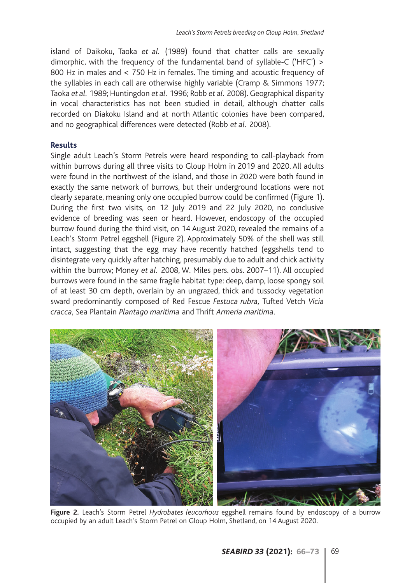island of Daikoku, Taoka *et al.* (1989) found that chatter calls are sexually dimorphic, with the frequency of the fundamental band of syllable-C ('HFC') > 800 Hz in males and < 750 Hz in females. The timing and acoustic frequency of the syllables in each call are otherwise highly variable (Cramp & Simmons 1977; Taoka *et al.* 1989; Huntingdon *et al.* 1996; Robb *et al.* 2008). Geographical disparity in vocal characteristics has not been studied in detail, although chatter calls recorded on Diakoku Island and at north Atlantic colonies have been compared, and no geographical differences were detected (Robb *et al.* 2008).

## **Results**

Single adult Leach's Storm Petrels were heard responding to call-playback from within burrows during all three visits to Gloup Holm in 2019 and 2020. All adults were found in the northwest of the island, and those in 2020 were both found in exactly the same network of burrows, but their underground locations were not clearly separate, meaning only one occupied burrow could be confirmed (Figure 1). During the first two visits, on 12 July 2019 and 22 July 2020, no conclusive evidence of breeding was seen or heard. However, endoscopy of the occupied burrow found during the third visit, on 14 August 2020, revealed the remains of a Leach's Storm Petrel eggshell (Figure 2). Approximately 50% of the shell was still intact, suggesting that the egg may have recently hatched (eggshells tend to disintegrate very quickly after hatching, presumably due to adult and chick activity within the burrow; Money *et al.* 2008, W. Miles pers. obs. 2007–11). All occupied burrows were found in the same fragile habitat type: deep, damp, loose spongy soil of at least 30 cm depth, overlain by an ungrazed, thick and tussocky vegetation sward predominantly composed of Red Fescue *Festuca rubra,* Tufted Vetch *Vicia cracca*, Sea Plantain *Plantago maritima* and Thrift *Armeria maritima*.



**Figure 2.** Leach's Storm Petrel *Hydrobates leucorhous* eggshell remains found by endoscopy of a burrow occupied by an adult Leach's Storm Petrel on Gloup Holm, Shetland, on 14 August 2020.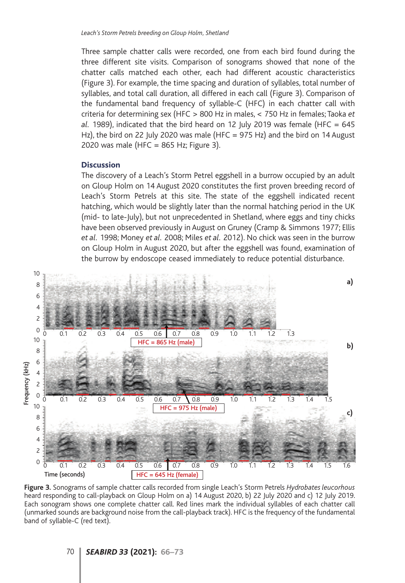Three sample chatter calls were recorded, one from each bird found during the three different site visits. Comparison of sonograms showed that none of the chatter calls matched each other, each had different acoustic characteristics (Figure 3). For example, the time spacing and duration of syllables, total number of syllables, and total call duration, all differed in each call (Figure 3). Comparison of the fundamental band frequency of syllable-C (HFC) in each chatter call with criteria for determining sex (HFC > 800 Hz in males, < 750 Hz in females; Taoka *et al.* 1989), indicated that the bird heard on 12 July 2019 was female (HFC = 645 Hz), the bird on 22 July 2020 was male (HFC = 975 Hz) and the bird on 14 August 2020 was male (HFC =  $865$  Hz; Figure 3).

#### **Discussion**

The discovery of a Leach's Storm Petrel eggshell in a burrow occupied by an adult on Gloup Holm on 14 August 2020 constitutes the first proven breeding record of Leach's Storm Petrels at this site. The state of the eggshell indicated recent hatching, which would be slightly later than the normal hatching period in the UK (mid- to late-July), but not unprecedented in Shetland, where eggs and tiny chicks have been observed previously in August on Gruney (Cramp & Simmons 1977; Ellis *et al.* 1998; Money *et al.* 2008; Miles *et al.* 2012). No chick was seen in the burrow on Gloup Holm in August 2020, but after the eggshell was found, examination of the burrow by endoscope ceased immediately to reduce potential disturbance.



**Figure 3.** Sonograms of sample chatter calls recorded from single Leach's Storm Petrels *Hydrobates leucorhous* heard responding to call-playback on Gloup Holm on a) 14 August 2020, b) 22 July 2020 and c) 12 July 2019. Each sonogram shows one complete chatter call. Red lines mark the individual syllables of each chatter call (unmarked sounds are background noise from the call-playback track). HFC is the frequency of the fundamental

## 70 *SEABIRD 33* **(2021): 66–73**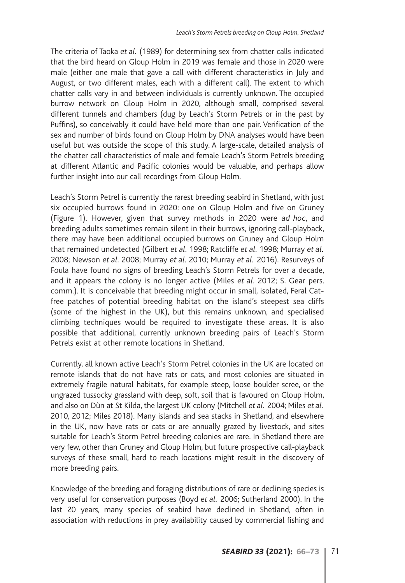The criteria of Taoka *et al.* (1989) for determining sex from chatter calls indicated that the bird heard on Gloup Holm in 2019 was female and those in 2020 were male (either one male that gave a call with different characteristics in July and August, or two different males, each with a different call). The extent to which chatter calls vary in and between individuals is currently unknown. The occupied burrow network on Gloup Holm in 2020, although small, comprised several different tunnels and chambers (dug by Leach's Storm Petrels or in the past by Puffins), so conceivably it could have held more than one pair. Verification of the sex and number of birds found on Gloup Holm by DNA analyses would have been useful but was outside the scope of this study. A large-scale, detailed analysis of the chatter call characteristics of male and female Leach's Storm Petrels breeding at different Atlantic and Pacific colonies would be valuable, and perhaps allow further insight into our call recordings from Gloup Holm.

Leach's Storm Petrel is currently the rarest breeding seabird in Shetland, with just six occupied burrows found in 2020: one on Gloup Holm and five on Gruney (Figure 1). However, given that survey methods in 2020 were *ad hoc*, and breeding adults sometimes remain silent in their burrows, ignoring call-playback, there may have been additional occupied burrows on Gruney and Gloup Holm that remained undetected (Gilbert *et al.* 1998; Ratcliffe *et al.* 1998; Murray *et al.* 2008; Newson *et al.* 2008; Murray *et al.* 2010; Murray *et al.* 2016). Resurveys of Foula have found no signs of breeding Leach's Storm Petrels for over a decade, and it appears the colony is no longer active (Miles *et al*. 2012; S. Gear pers. comm.). It is conceivable that breeding might occur in small, isolated, Feral Catfree patches of potential breeding habitat on the island's steepest sea cliffs (some of the highest in the UK), but this remains unknown, and specialised climbing techniques would be required to investigate these areas. It is also possible that additional, currently unknown breeding pairs of Leach's Storm Petrels exist at other remote locations in Shetland.

Currently, all known active Leach's Storm Petrel colonies in the UK are located on remote islands that do not have rats or cats, and most colonies are situated in extremely fragile natural habitats, for example steep, loose boulder scree, or the ungrazed tussocky grassland with deep, soft, soil that is favoured on Gloup Holm, and also on Dùn at St Kilda, the largest UK colony (Mitchell *et al.* 2004; Miles *et al.* 2010, 2012; Miles 2018). Many islands and sea stacks in Shetland, and elsewhere in the UK, now have rats or cats or are annually grazed by livestock, and sites suitable for Leach's Storm Petrel breeding colonies are rare. In Shetland there are very few, other than Gruney and Gloup Holm, but future prospective call-playback surveys of these small, hard to reach locations might result in the discovery of more breeding pairs.

Knowledge of the breeding and foraging distributions of rare or declining species is very useful for conservation purposes (Boyd *et al.* 2006; Sutherland 2000). In the last 20 years, many species of seabird have declined in Shetland, often in association with reductions in prey availability caused by commercial fishing and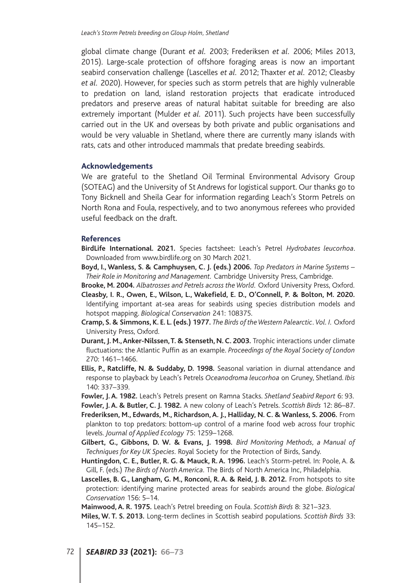global climate change (Durant *et al.* 2003; Frederiksen *et al.* 2006; Miles 2013, 2015). Large-scale protection of offshore foraging areas is now an important seabird conservation challenge (Lascelles *et al.* 2012; Thaxter *et al.* 2012; Cleasby *et al.* 2020). However, for species such as storm petrels that are highly vulnerable to predation on land, island restoration projects that eradicate introduced predators and preserve areas of natural habitat suitable for breeding are also extremely important (Mulder *et al.* 2011). Such projects have been successfully carried out in the UK and overseas by both private and public organisations and would be very valuable in Shetland, where there are currently many islands with rats, cats and other introduced mammals that predate breeding seabirds.

#### **Acknowledgements**

We are grateful to the Shetland Oil Terminal Environmental Advisory Group (SOTEAG) and the University of St Andrews for logistical support. Our thanks go to Tony Bicknell and Sheila Gear for information regarding Leach's Storm Petrels on North Rona and Foula, respectively, and to two anonymous referees who provided useful feedback on the draft.

#### **References**

- **BirdLife International. 2021.** Species factsheet: Leach's Petrel *Hydrobates leucorhoa*. Downloaded from www.birdlife.org on 30 March 2021.
- **Boyd, I., Wanless, S. & Camphuysen, C. J. (eds.) 2006.** *Top Predators in Marine Systems – Their Role in Monitoring and Management.* Cambridge University Press, Cambridge.
- **Brooke, M. 2004.** *Albatrosses and Petrels across the World.* Oxford University Press, Oxford.
- **Cleasby, I. R., Owen, E., Wilson, L., Wakefield, E. D., O'Connell, P. & Bolton, M. 2020.** Identifying important at-sea areas for seabirds using species distribution models and hotspot mapping. *Biological Conservation* 241: 108375.
- **Cramp, S. & Simmons, K. E. L. (eds.) 1977.** *The Birds of the Western Palearctic. Vol. I.* Oxford University Press, Oxford.
- **Durant, J. M., Anker-Nilssen, T. & Stenseth, N. C. 2003.** Trophic interactions under climate fluctuations: the Atlantic Puffin as an example. *Proceedings of the Royal Society of London* 270: 1461–1466.
- **Ellis, P., Ratcliffe, N. & Suddaby, D. 1998.** Seasonal variation in diurnal attendance and response to playback by Leach's Petrels *Oceanodroma leucorhoa* on Gruney, Shetland. *Ibis* 140: 337–339.
- **Fowler, J. A. 1982.** Leach's Petrels present on Ramna Stacks. *Shetland Seabird Report* 6: 93.
- **Fowler, J. A. & Butler, C. J. 1982.** A new colony of Leach's Petrels. *Scottish Birds* 12: 86–87. **Frederiksen, M., Edwards, M., Richardson, A. J., Halliday, N. C. & Wanless, S. 2006.** From plankton to top predators: bottom-up control of a marine food web across four trophic levels. *Journal of Applied Ecology* 75: 1259–1268.
- **Gilbert, G., Gibbons, D. W. & Evans, J. 1998.** *Bird Monitoring Methods, a Manual of Techniques for Key UK Species.* Royal Society for the Protection of Birds, Sandy.
- **Huntingdon, C. E., Butler, R. G. & Mauck, R. A. 1996.** Leach's Storm-petrel. In: Poole, A. & Gill, F. (eds.) *The Birds of North America.* The Birds of North America Inc, Philadelphia.
- **Lascelles, B. G., Langham, G. M., Ronconi, R. A. & Reid, J. B. 2012.** From hotspots to site protection: identifying marine protected areas for seabirds around the globe. *Biological Conservation* 156: 5–14.

**Mainwood, A. R. 1975.** Leach's Petrel breeding on Foula. *Scottish Birds* 8: 321–323.

**Miles, W. T. S. 2013.** Long-term declines in Scottish seabird populations. *Scottish Birds* 33: 145–152.